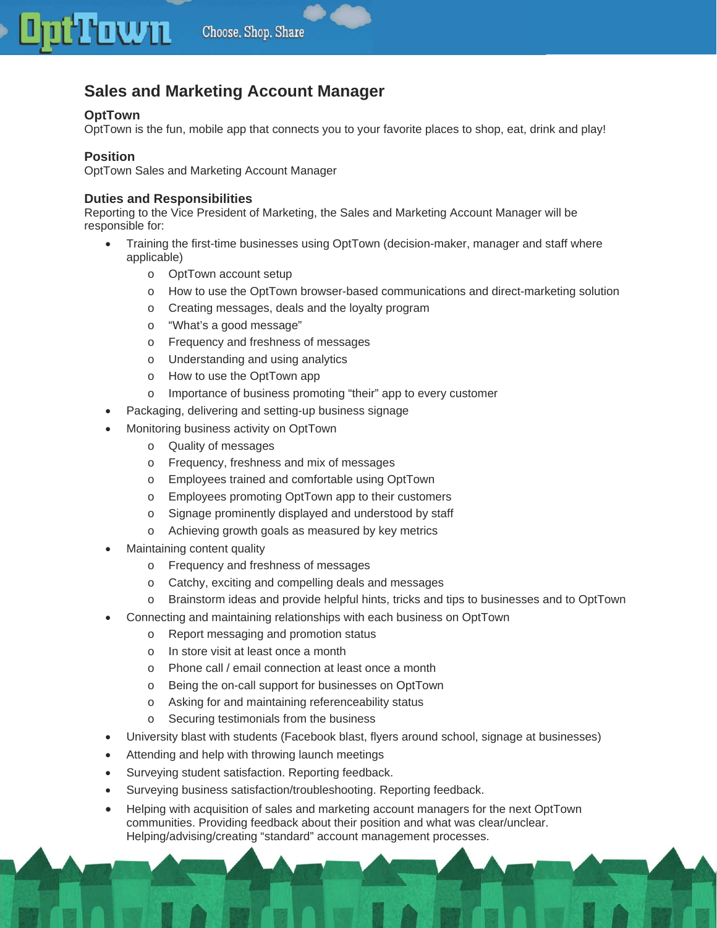# **Sales and Marketing Account Manager**

## **OptTown**

OptTown is the fun, mobile app that connects you to your favorite places to shop, eat, drink and play!

### **Position**

OptTown Sales and Marketing Account Manager

### **Duties and Responsibilities**

Reporting to the Vice President of Marketing, the Sales and Marketing Account Manager will be responsible for:

- Training the first-time businesses using OptTown (decision-maker, manager and staff where applicable)
	- o OptTown account setup
	- o How to use the OptTown browser-based communications and direct-marketing solution
	- o Creating messages, deals and the loyalty program
	- o "What's a good message"
	- o Frequency and freshness of messages
	- o Understanding and using analytics
	- o How to use the OptTown app
	- o Importance of business promoting "their" app to every customer
- Packaging, delivering and setting-up business signage
- Monitoring business activity on OptTown
	- o Quality of messages
	- o Frequency, freshness and mix of messages
	- o Employees trained and comfortable using OptTown
	- o Employees promoting OptTown app to their customers
	- o Signage prominently displayed and understood by staff
	- o Achieving growth goals as measured by key metrics
- Maintaining content quality
	- o Frequency and freshness of messages
	- o Catchy, exciting and compelling deals and messages
	- o Brainstorm ideas and provide helpful hints, tricks and tips to businesses and to OptTown
- Connecting and maintaining relationships with each business on OptTown
	- o Report messaging and promotion status
	- o In store visit at least once a month
	- o Phone call / email connection at least once a month
	- o Being the on-call support for businesses on OptTown
	- o Asking for and maintaining referenceability status
	- o Securing testimonials from the business
- University blast with students (Facebook blast, flyers around school, signage at businesses)
- Attending and help with throwing launch meetings
- Surveying student satisfaction. Reporting feedback.
- Surveying business satisfaction/troubleshooting. Reporting feedback.
- Helping with acquisition of sales and marketing account managers for the next OptTown communities. Providing feedback about their position and what was clear/unclear. Helping/advising/creating "standard" account management processes.